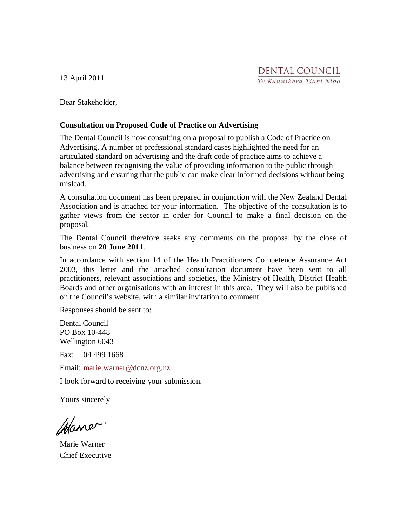13 April 2011

Dear Stakeholder,

#### **Consultation on Proposed Code of Practice on Advertising**

The Dental Council is now consulting on a proposal to publish a Code of Practice on Advertising. A number of professional standard cases highlighted the need for an articulated standard on advertising and the draft code of practice aims to achieve a balance between recognising the value of providing information to the public through advertising and ensuring that the public can make clear informed decisions without being mislead.

A consultation document has been prepared in conjunction with the New Zealand Dental Association and is attached for your information. The objective of the consultation is to gather views from the sector in order for Council to make a final decision on the proposal.

The Dental Council therefore seeks any comments on the proposal by the close of business on **20 June 2011**.

In accordance with section 14 of the Health Practitioners Competence Assurance Act 2003, this letter and the attached consultation document have been sent to all practitioners, relevant associations and societies, the Ministry of Health, District Health Boards and other organisations with an interest in this area. They will also be published on the Council's website, with a similar invitation to comment.

Responses should be sent to:

Dental Council PO Box 10-448 Wellington 6043

Fax: 04 499 1668

Email: marie.warner@dcnz.org.nz

I look forward to receiving your submission.

Yours sincerely

Chaner.

Marie Warner Chief Executive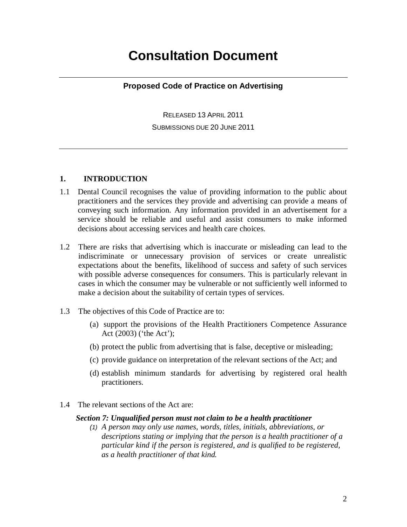# **Consultation Document**

#### **Proposed Code of Practice on Advertising**

RELEASED 13 APRIL 2011 SUBMISSIONS DUE 20 JUNE 2011

#### **1. INTRODUCTION**

- 1.1 Dental Council recognises the value of providing information to the public about practitioners and the services they provide and advertising can provide a means of conveying such information. Any information provided in an advertisement for a service should be reliable and useful and assist consumers to make informed decisions about accessing services and health care choices.
- 1.2 There are risks that advertising which is inaccurate or misleading can lead to the indiscriminate or unnecessary provision of services or create unrealistic expectations about the benefits, likelihood of success and safety of such services with possible adverse consequences for consumers. This is particularly relevant in cases in which the consumer may be vulnerable or not sufficiently well informed to make a decision about the suitability of certain types of services.
- 1.3 The objectives of this Code of Practice are to:
	- (a) support the provisions of the Health Practitioners Competence Assurance Act (2003) ('the Act');
	- (b) protect the public from advertising that is false, deceptive or misleading;
	- (c) provide guidance on interpretation of the relevant sections of the Act; and
	- (d) establish minimum standards for advertising by registered oral health practitioners.
- 1.4 The relevant sections of the Act are:

#### *Section 7: Unqualified person must not claim to be a health practitioner*

(1) *A person may only use names, words, titles, initials, abbreviations, or descriptions stating or implying that the person is a health practitioner of a particular kind if the person is registered, and is qualified to be registered, as a health practitioner of that kind.*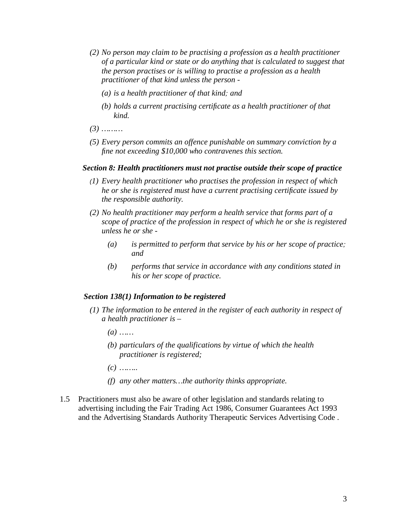- *(2) No person may claim to be practising a profession as a health practitioner of a particular kind or state or do anything that is calculated to suggest that the person practises or is willing to practise a profession as a health practitioner of that kind unless the person -* 
	- *(a) is a health practitioner of that kind*; *and*
	- *(b) holds a current practising certificate as a health practitioner of that kind.*
- *(3) ………*
- *(5) Every person commits an offence punishable on summary conviction by a fine not exceeding \$10,000 who contravenes this section.*

#### *Section 8: Health practitioners must not practise outside their scope of practice*

- (*1) Every health practitioner who practises the profession in respect of which he or she is registered must have a current practising certificate issued by the responsible authority.*
- *(2) No health practitioner may perform a health service that forms part of a scope of practice of the profession in respect of which he or she is registered unless he or she -* 
	- *(a) is permitted to perform that service by his or her scope of practice*; *and*
	- *(b) performs that service in accordance with any conditions stated in his or her scope of practice.*

#### *Section 138(1) Information to be registered*

- *(1) The information to be entered in the register of each authority in respect of a health practitioner is –* 
	- *(a) ……*
	- *(b) particulars of the qualifications by virtue of which the health practitioner is registered;*
	- *(c) ……..*
	- *(f) any other matters…the authority thinks appropriate.*
- 1.5 Practitioners must also be aware of other legislation and standards relating to advertising including the Fair Trading Act 1986, Consumer Guarantees Act 1993 and the Advertising Standards Authority Therapeutic Services Advertising Code .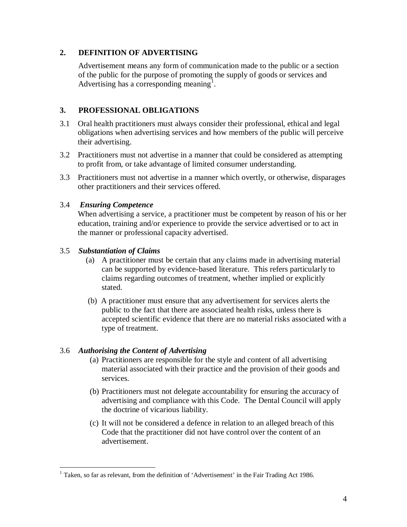#### **2. DEFINITION OF ADVERTISING**

Advertisement means any form of communication made to the public or a section of the public for the purpose of promoting the supply of goods or services and Advertising has a corresponding meaning<sup>1</sup>.

## **3. PROFESSIONAL OBLIGATIONS**

- 3.1 Oral health practitioners must always consider their professional, ethical and legal obligations when advertising services and how members of the public will perceive their advertising.
- 3.2 Practitioners must not advertise in a manner that could be considered as attempting to profit from, or take advantage of limited consumer understanding.
- 3.3 Practitioners must not advertise in a manner which overtly, or otherwise, disparages other practitioners and their services offered.

## 3.4 *Ensuring Competence*

 When advertising a service, a practitioner must be competent by reason of his or her education, training and/or experience to provide the service advertised or to act in the manner or professional capacity advertised.

## 3.5 *Substantiation of Claims*

- (a) A practitioner must be certain that any claims made in advertising material can be supported by evidence-based literature. This refers particularly to claims regarding outcomes of treatment, whether implied or explicitly stated.
- (b) A practitioner must ensure that any advertisement for services alerts the public to the fact that there are associated health risks, unless there is accepted scientific evidence that there are no material risks associated with a type of treatment.

#### 3.6 *Authorising the Content of Advertising*

- (a) Practitioners are responsible for the style and content of all advertising material associated with their practice and the provision of their goods and services.
- (b) Practitioners must not delegate accountability for ensuring the accuracy of advertising and compliance with this Code. The Dental Council will apply the doctrine of vicarious liability.
- (c) It will not be considered a defence in relation to an alleged breach of this Code that the practitioner did not have control over the content of an advertisement.

<sup>&</sup>lt;u>.</u>  $1$  Taken, so far as relevant, from the definition of 'Advertisement' in the Fair Trading Act 1986.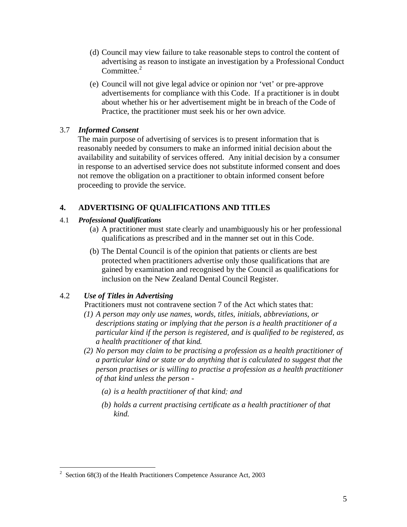- (d) Council may view failure to take reasonable steps to control the content of advertising as reason to instigate an investigation by a Professional Conduct Committee. $2$
- (e) Council will not give legal advice or opinion nor 'vet' or pre-approve advertisements for compliance with this Code. If a practitioner is in doubt about whether his or her advertisement might be in breach of the Code of Practice, the practitioner must seek his or her own advice.

#### 3.7 *Informed Consent*

 The main purpose of advertising of services is to present information that is reasonably needed by consumers to make an informed initial decision about the availability and suitability of services offered. Any initial decision by a consumer in response to an advertised service does not substitute informed consent and does not remove the obligation on a practitioner to obtain informed consent before proceeding to provide the service.

# **4. ADVERTISING OF QUALIFICATIONS AND TITLES**

#### 4.1 *Professional Qualifications*

- (a) A practitioner must state clearly and unambiguously his or her professional qualifications as prescribed and in the manner set out in this Code.
- (b) The Dental Council is of the opinion that patients or clients are best protected when practitioners advertise only those qualifications that are gained by examination and recognised by the Council as qualifications for inclusion on the New Zealand Dental Council Register.

# 4.2 *Use of Titles in Advertising*

Practitioners must not contravene section 7 of the Act which states that:

- *(1) A person may only use names, words, titles, initials, abbreviations, or descriptions stating or implying that the person is a health practitioner of a particular kind if the person is registered, and is qualified to be registered, as a health practitioner of that kind.*
- *(2) No person may claim to be practising a profession as a health practitioner of a particular kind or state or do anything that is calculated to suggest that the person practises or is willing to practise a profession as a health practitioner of that kind unless the person -* 
	- *(a) is a health practitioner of that kind*; *and*
	- *(b) holds a current practising certificate as a health practitioner of that kind.*

<sup>&</sup>lt;sup>2</sup> Section 68(3) of the Health Practitioners Competence Assurance Act, 2003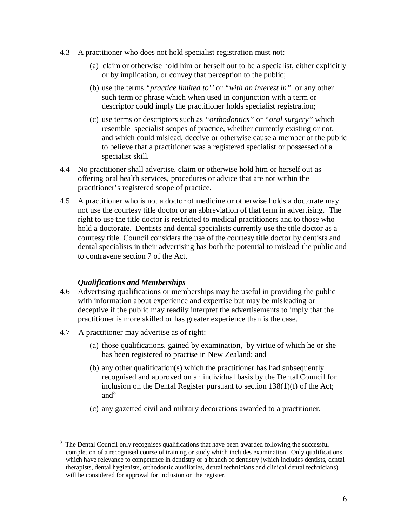- 4.3 A practitioner who does not hold specialist registration must not:
	- (a) claim or otherwise hold him or herself out to be a specialist, either explicitly or by implication, or convey that perception to the public;
	- (b) use the terms *"practice limited to''* or *"with an interest in"* or any other such term or phrase which when used in conjunction with a term or descriptor could imply the practitioner holds specialist registration;
	- (c) use terms or descriptors such as *"orthodontics"* or *"oral surgery"* which resemble specialist scopes of practice, whether currently existing or not, and which could mislead, deceive or otherwise cause a member of the public to believe that a practitioner was a registered specialist or possessed of a specialist skill.
- 4.4 No practitioner shall advertise, claim or otherwise hold him or herself out as offering oral health services, procedures or advice that are not within the practitioner's registered scope of practice.
- 4.5 A practitioner who is not a doctor of medicine or otherwise holds a doctorate may not use the courtesy title doctor or an abbreviation of that term in advertising. The right to use the title doctor is restricted to medical practitioners and to those who hold a doctorate. Dentists and dental specialists currently use the title doctor as a courtesy title. Council considers the use of the courtesy title doctor by dentists and dental specialists in their advertising has both the potential to mislead the public and to contravene section 7 of the Act.

#### *Qualifications and Memberships*

- 4.6 Advertising qualifications or memberships may be useful in providing the public with information about experience and expertise but may be misleading or deceptive if the public may readily interpret the advertisements to imply that the practitioner is more skilled or has greater experience than is the case.
- 4.7 A practitioner may advertise as of right:
	- (a) those qualifications, gained by examination, by virtue of which he or she has been registered to practise in New Zealand; and
	- (b) any other qualification(s) which the practitioner has had subsequently recognised and approved on an individual basis by the Dental Council for inclusion on the Dental Register pursuant to section 138(1)(f) of the Act; and $3$
	- (c) any gazetted civil and military decorations awarded to a practitioner.

 $\frac{1}{3}$  The Dental Council only recognises qualifications that have been awarded following the successful completion of a recognised course of training or study which includes examination. Only qualifications which have relevance to competence in dentistry or a branch of dentistry (which includes dentists, dental therapists, dental hygienists, orthodontic auxiliaries, dental technicians and clinical dental technicians) will be considered for approval for inclusion on the register.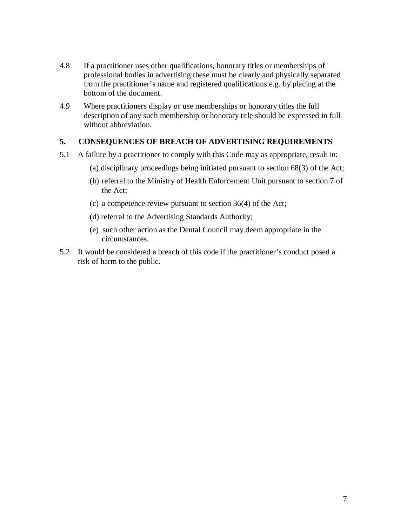- 4.8 If a practitioner uses other qualifications, honorary titles or memberships of professional bodies in advertising these must be clearly and physically separated from the practitioner's name and registered qualifications e.g. by placing at the bottom of the document.
- 4.9 Where practitioners display or use memberships or honorary titles the full description of any such membership or honorary title should be expressed in full without abbreviation.

#### **5. CONSEQUENCES OF BREACH OF ADVERTISING REQUIREMENTS**

- 5.1 A failure by a practitioner to comply with this Code may as appropriate, result in:
	- (a) disciplinary proceedings being initiated pursuant to section 68(3) of the Act;
	- (b) referral to the Ministry of Health Enforcement Unit pursuant to section 7 of the Act;
	- (c) a competence review pursuant to section 36(4) of the Act;
	- (d) referral to the Advertising Standards Authority;
	- (e) such other action as the Dental Council may deem appropriate in the circumstances.
- 5.2 It would be considered a breach of this code if the practitioner's conduct posed a risk of harm to the public.